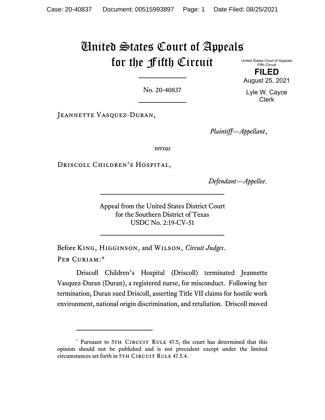# United States Court of Appeals for the Fifth Circuit

United States Court of Appeals Fifth Circuit **FILED** August 25, 2021

No. 20-40837

JEANNETTE VASQUEZ-DURAN,

*Plaintiff—Appellant*,

*versus*

Driscoll Children's Hospital,

*Defendant—Appellee*.

Appeal from the United States District Court for the Southern District of Texas USDC No. 2:19-CV-51

Before King, Higginson, and Wilson, *Circuit Judges*. PER CURIAM:[\\*](#page-0-0)

Driscoll Children's Hospital (Driscoll) terminated Jeannette Vasquez-Duran (Duran), a registered nurse, for misconduct. Following her termination, Duran sued Driscoll, asserting Title VII claims for hostile work environment, national origin discrimination, and retaliation. Driscoll moved

Lyle W. Cayce Clerk

<span id="page-0-0"></span><sup>\*</sup> Pursuant to 5TH CIRCUIT RULE 47.5, the court has determined that this opinion should not be published and is not precedent except under the limited circumstances set forth in 5TH CIRCUIT RULE 47.5.4.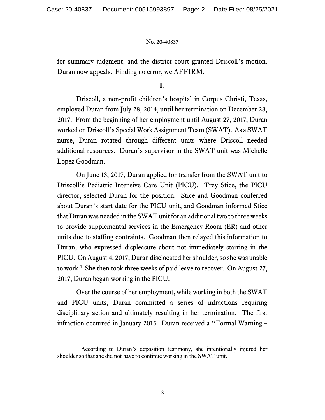for summary judgment, and the district court granted Driscoll's motion. Duran now appeals. Finding no error, we AFFIRM.

**I.**

Driscoll, a non-profit children's hospital in Corpus Christi, Texas, employed Duran from July 28, 2014, until her termination on December 28, 2017. From the beginning of her employment until August 27, 2017, Duran worked on Driscoll's Special Work Assignment Team (SWAT). As a SWAT nurse, Duran rotated through different units where Driscoll needed additional resources. Duran's supervisor in the SWAT unit was Michelle Lopez Goodman.

On June 13, 2017, Duran applied for transfer from the SWAT unit to Driscoll's Pediatric Intensive Care Unit (PICU). Trey Stice, the PICU director, selected Duran for the position. Stice and Goodman conferred about Duran's start date for the PICU unit, and Goodman informed Stice that Duran was needed in the SWAT unit for an additional two to three weeks to provide supplemental services in the Emergency Room (ER) and other units due to staffing contraints. Goodman then relayed this information to Duran, who expressed displeasure about not immediately starting in the PICU. On August 4, 2017, Duran disclocated her shoulder, so she was unable to work.[1](#page-1-0) She then took three weeks of paid leave to recover. On August 27, 2017, Duran began working in the PICU.

Over the course of her employment, while working in both the SWAT and PICU units, Duran committed a series of infractions requiring disciplinary action and ultimately resulting in her termination. The first infraction occurred in January 2015. Duran received a "Formal Warning –

<span id="page-1-0"></span><sup>&</sup>lt;sup>1</sup> According to Duran's deposition testimony, she intentionally injured her shoulder so that she did not have to continue working in the SWAT unit.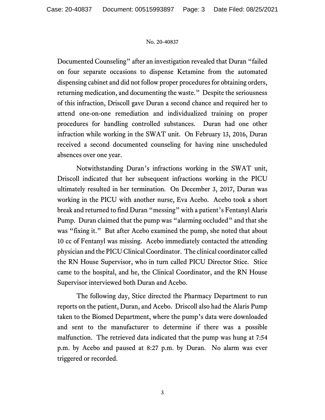Documented Counseling" after an investigation revealed that Duran "failed on four separate occasions to dispense Ketamine from the automated dispensing cabinet and did not follow proper procedures for obtaining orders, returning medication, and documenting the waste." Despite the seriousness of this infraction, Driscoll gave Duran a second chance and required her to attend one-on-one remediation and individualized training on proper procedures for handling controlled substances. Duran had one other infraction while working in the SWAT unit. On February 13, 2016, Duran received a second documented counseling for having nine unscheduled absences over one year.

Notwithstanding Duran's infractions working in the SWAT unit, Driscoll indicated that her subsequent infractions working in the PICU ultimately resulted in her termination. On December 3, 2017, Duran was working in the PICU with another nurse, Eva Acebo. Acebo took a short break and returned to find Duran "messing" with a patient's Fentanyl Alaris Pump. Duran claimed that the pump was "alarming occluded" and that she was "fixing it." But after Acebo examined the pump, she noted that about 10 cc of Fentanyl was missing. Acebo immediately contacted the attending physician and the PICU Clinical Coordinator. The clinical coordinator called the RN House Supervisor, who in turn called PICU Director Stice. Stice came to the hospital, and he, the Clinical Coordinator, and the RN House Supervisor interviewed both Duran and Acebo.

The following day, Stice directed the Pharmacy Department to run reports on the patient, Duran, and Acebo. Driscoll also had the Alaris Pump taken to the Biomed Department, where the pump's data were downloaded and sent to the manufacturer to determine if there was a possible malfunction. The retrieved data indicated that the pump was hung at 7:54 p.m. by Acebo and paused at 8:27 p.m. by Duran. No alarm was ever triggered or recorded.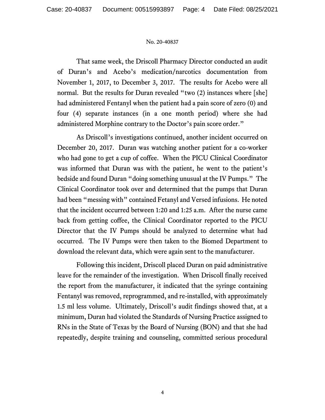That same week, the Driscoll Pharmacy Director conducted an audit of Duran's and Acebo's medication/narcotics documentation from November 1, 2017, to December 3, 2017. The results for Acebo were all normal. But the results for Duran revealed "two (2) instances where [she] had administered Fentanyl when the patient had a pain score of zero (0) and four (4) separate instances (in a one month period) where she had administered Morphine contrary to the Doctor's pain score order."

As Driscoll's investigations continued, another incident occurred on December 20, 2017. Duran was watching another patient for a co-worker who had gone to get a cup of coffee. When the PICU Clinical Coordinator was informed that Duran was with the patient, he went to the patient's bedside and found Duran "doing something unusual at the IV Pumps." The Clinical Coordinator took over and determined that the pumps that Duran had been "messing with" contained Fetanyl and Versed infusions. He noted that the incident occurred between 1:20 and 1:25 a.m. After the nurse came back from getting coffee, the Clinical Coordinator reported to the PICU Director that the IV Pumps should be analyzed to determine what had occurred. The IV Pumps were then taken to the Biomed Department to download the relevant data, which were again sent to the manufacturer.

Following this incident, Driscoll placed Duran on paid administrative leave for the remainder of the investigation. When Driscoll finally received the report from the manufacturer, it indicated that the syringe containing Fentanyl was removed, reprogrammed, and re-installed, with approximately 1.5 ml less volume. Ultimately, Driscoll's audit findings showed that, at a minimum, Duran had violated the Standards of Nursing Practice assigned to RNs in the State of Texas by the Board of Nursing (BON) and that she had repeatedly, despite training and counseling, committed serious procedural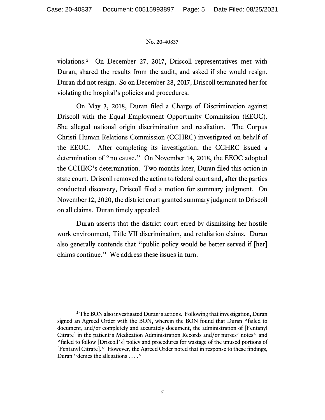violations.[2](#page-4-0) On December 27, 2017, Driscoll representatives met with Duran, shared the results from the audit, and asked if she would resign. Duran did not resign. So on December 28, 2017, Driscoll terminated her for violating the hospital's policies and procedures.

On May 3, 2018, Duran filed a Charge of Discrimination against Driscoll with the Equal Employment Opportunity Commission (EEOC). She alleged national origin discrimination and retaliation. The Corpus Christi Human Relations Commission (CCHRC) investigated on behalf of the EEOC. After completing its investigation, the CCHRC issued a determination of "no cause." On November 14, 2018, the EEOC adopted the CCHRC's determination. Two months later, Duran filed this action in state court. Driscoll removed the action to federal court and, after the parties conducted discovery, Driscoll filed a motion for summary judgment. On November 12, 2020, the district court granted summary judgment to Driscoll on all claims. Duran timely appealed.

Duran asserts that the district court erred by dismissing her hostile work environment, Title VII discrimination, and retaliation claims. Duran also generally contends that "public policy would be better served if [her] claims continue." We address these issues in turn.

<span id="page-4-0"></span><sup>&</sup>lt;sup>2</sup> The BON also investigated Duran's actions. Following that investigation, Duran signed an Agreed Order with the BON, wherein the BON found that Duran "failed to document, and/or completely and accurately document, the administration of [Fentanyl Citrate] in the patient's Medication Administration Records and/or nurses' notes" and "failed to follow [Driscoll's] policy and procedures for wastage of the unused portions of [Fentanyl Citrate]." However, the Agreed Order noted that in response to these findings, Duran "denies the allegations . . . ."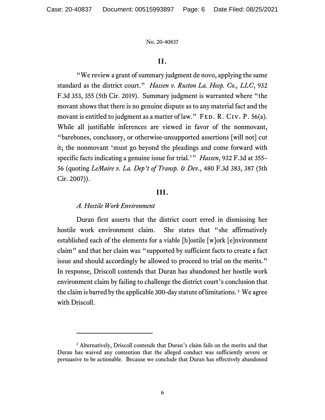# **II.**

"We review a grant of summary judgment de novo, applying the same standard as the district court." *Hassen v. Ruston La. Hosp. Co., LLC*, 932 F.3d 353, 355 (5th Cir. 2019). Summary judgment is warranted where "the movant shows that there is no genuine dispute as to any material fact and the movant is entitled to judgment as a matter of law." FED. R. CIV. P.  $56(a)$ . While all justifiable inferences are viewed in favor of the nonmovant, "barebones, conclusory, or otherwise-unsupported assertions [will not] cut it; the nonmovant 'must go beyond the pleadings and come forward with specific facts indicating a genuine issue for trial.'" *Hassen*, 932 F.3d at 355– 56 (quoting *LeMaire v. La. Dep't of Transp. & Dev*., 480 F.3d 383, 387 (5th Cir. 2007)).

# **III.**

### *A. Hostile Work Environment*

Duran first asserts that the district court erred in dismissing her hostile work environment claim. She states that "she affirmatively established each of the elements for a viable [h]ostile [w]ork [e]nvironment claim" and that her claim was "supported by sufficient facts to create a fact issue and should accordingly be allowed to proceed to trial on the merits." In response, Driscoll contends that Duran has abandoned her hostile work environment claim by failing to challenge the district court's conclusion that the claim is barred by the applicable 300-day statute of limitations. [3](#page-5-0) We agree with Driscoll.

<span id="page-5-0"></span><sup>&</sup>lt;sup>3</sup> Alternatively, Driscoll contends that Duran's claim fails on the merits and that Duran has waived any contention that the alleged conduct was sufficiently severe or persuasive to be actionable. Because we conclude that Duran has effectively abandoned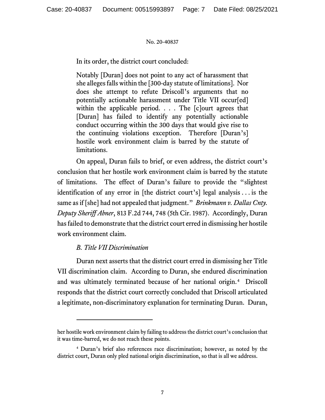In its order, the district court concluded:

Notably [Duran] does not point to any act of harassment that she alleges falls within the [300-day statute of limitations]. Nor does she attempt to refute Driscoll's arguments that no potentially actionable harassment under Title VII occur[ed] within the applicable period.  $\ldots$  The [c]ourt agrees that [Duran] has failed to identify any potentially actionable conduct occurring within the 300 days that would give rise to the continuing violations exception. Therefore [Duran's] hostile work environment claim is barred by the statute of limitations.

On appeal, Duran fails to brief, or even address, the district court's conclusion that her hostile work environment claim is barred by the statute of limitations. The effect of Duran's failure to provide the "slightest identification of any error in [the district court's] legal analysis . . . is the same as if [she] had not appealed that judgment." *Brinkmann v. Dallas Cnty. Deputy Sheriff Abner*, 813 F.2d 744, 748 (5th Cir. 1987). Accordingly, Duran has failed to demonstrate that the district court erred in dismissing her hostile work environment claim.

# *B. Title VII Discrimination*

Duran next asserts that the district court erred in dismissing her Title VII discrimination claim. According to Duran, she endured discrimination and was ultimately terminated because of her national origin.[4](#page-6-0) Driscoll responds that the district court correctly concluded that Driscoll articulated a legitimate, non-discriminatory explanation for terminating Duran. Duran,

her hostile work environment claim by failing to address the district court's conclusion that it was time-barred, we do not reach these points.

<span id="page-6-0"></span><sup>4</sup> Duran's brief also references race discrimination; however, as noted by the district court, Duran only pled national origin discrimination, so that is all we address.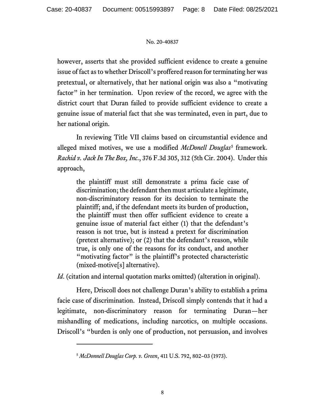however, asserts that she provided sufficient evidence to create a genuine issue of fact as to whether Driscoll's proffered reason for terminating her was pretextual, or alternatively, that her national origin was also a "motivating factor" in her termination. Upon review of the record, we agree with the district court that Duran failed to provide sufficient evidence to create a genuine issue of material fact that she was terminated, even in part, due to her national origin.

In reviewing Title VII claims based on circumstantial evidence and alleged mixed motives, we use a modified *McDonell Douglas*[5](#page-7-0) framework. *Rachid v. Jack In The Box, Inc*., 376 F.3d 305, 312 (5th Cir. 2004). Under this approach,

the plaintiff must still demonstrate a prima facie case of discrimination; the defendant then must articulate a legitimate, non-discriminatory reason for its decision to terminate the plaintiff; and, if the defendant meets its burden of production, the plaintiff must then offer sufficient evidence to create a genuine issue of material fact either (1) that the defendant's reason is not true, but is instead a pretext for discrimination (pretext alternative); or (2) that the defendant's reason, while true, is only one of the reasons for its conduct, and another "motivating factor" is the plaintiff's protected characteristic (mixed-motive[s] alternative).

*Id.* (citation and internal quotation marks omitted) (alteration in original).

Here, Driscoll does not challenge Duran's ability to establish a prima facie case of discrimination. Instead, Driscoll simply contends that it had a legitimate, non-discriminatory reason for terminating Duran—her mishandling of medications, including narcotics, on multiple occasions. Driscoll's "burden is only one of production, not persuasion, and involves

<span id="page-7-0"></span><sup>5</sup> *McDonnell Douglas Corp. v. Green*, 411 U.S. 792, 802–03 (1973).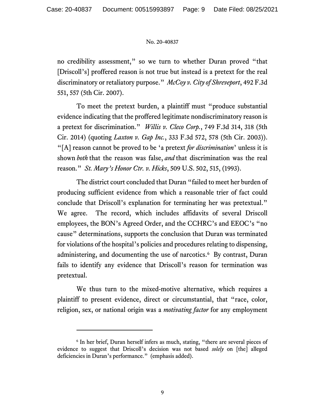no credibility assessment," so we turn to whether Duran proved "that [Driscoll's] proffered reason is not true but instead is a pretext for the real discriminatory or retaliatory purpose." *McCoy v. City of Shreveport*, 492 F.3d 551, 557 (5th Cir. 2007).

To meet the pretext burden, a plaintiff must "produce substantial evidence indicating that the proffered legitimate nondiscriminatory reason is a pretext for discrimination." *Willis v. Cleco Corp.*, 749 F.3d 314, 318 (5th Cir. 2014) (quoting *Laxton v. Gap Inc.*, 333 F.3d 572, 578 (5th Cir. 2003)). "[A] reason cannot be proved to be 'a pretext *for discrimination*' unless it is shown *both* that the reason was false, *and* that discrimination was the real reason." *St. Mary's Honor Ctr. v. Hicks*, 509 U.S. 502, 515, (1993).

The district court concluded that Duran "failed to meet her burden of producing sufficient evidence from which a reasonable trier of fact could conclude that Driscoll's explanation for terminating her was pretextual." We agree. The record, which includes affidavits of several Driscoll employees, the BON's Agreed Order, and the CCHRC's and EEOC's "no cause" determinations, supports the conclusion that Duran was terminated for violations of the hospital's policies and procedures relating to dispensing, administering, and documenting the use of narcotics. [6](#page-8-0) By contrast, Duran fails to identify any evidence that Driscoll's reason for termination was pretextual.

We thus turn to the mixed-motive alternative, which requires a plaintiff to present evidence, direct or circumstantial, that "race, color, religion, sex, or national origin was a *motivating factor* for any employment

<span id="page-8-0"></span><sup>6</sup> In her brief, Duran herself infers as much, stating, "there are several pieces of evidence to suggest that Driscoll's decision was not based *solely* on [the] alleged deficiencies in Duran's performance." (emphasis added).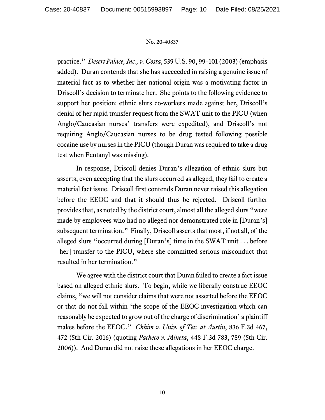practice." *Desert Palace, Inc., v. Costa*, 539 U.S. 90, 99–101 (2003) (emphasis added). Duran contends that she has succeeded in raising a genuine issue of material fact as to whether her national origin was a motivating factor in Driscoll's decision to terminate her. She points to the following evidence to support her position: ethnic slurs co-workers made against her, Driscoll's denial of her rapid transfer request from the SWAT unit to the PICU (when Anglo/Caucasian nurses' transfers were expedited), and Driscoll's not requiring Anglo/Caucasian nurses to be drug tested following possible cocaine use by nurses in the PICU (though Duran was required to take a drug test when Fentanyl was missing).

In response, Driscoll denies Duran's allegation of ethnic slurs but asserts, even accepting that the slurs occurred as alleged, they fail to create a material fact issue. Driscoll first contends Duran never raised this allegation before the EEOC and that it should thus be rejected. Driscoll further provides that, as noted by the district court, almost all the alleged slurs "were made by employees who had no alleged nor demonstrated role in [Duran's] subsequent termination." Finally, Driscoll asserts that most, if not all, of the alleged slurs "occurred during [Duran's] time in the SWAT unit . . . before [her] transfer to the PICU, where she committed serious misconduct that resulted in her termination."

We agree with the district court that Duran failed to create a fact issue based on alleged ethnic slurs. To begin, while we liberally construe EEOC claims, "we will not consider claims that were not asserted before the EEOC or that do not fall within 'the scope of the EEOC investigation which can reasonably be expected to grow out of the charge of discrimination' a plaintiff makes before the EEOC." *Chhim v. Univ. of Tex. at Austin*, 836 F.3d 467, 472 (5th Cir. 2016) (quoting *Pacheco v. Mineta*, 448 F.3d 783, 789 (5th Cir. 2006)). And Duran did not raise these allegations in her EEOC charge.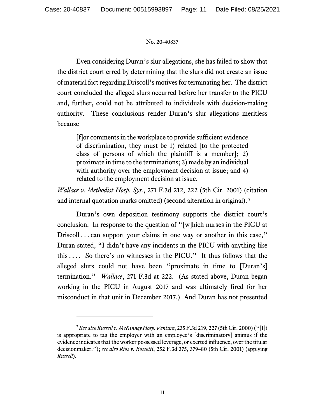Even considering Duran's slur allegations, she has failed to show that the district court erred by determining that the slurs did not create an issue of material fact regarding Driscoll's motives for terminating her. The district court concluded the alleged slurs occurred before her transfer to the PICU and, further, could not be attributed to individuals with decision-making authority. These conclusions render Duran's slur allegations meritless because

[f]or comments in the workplace to provide sufficient evidence of discrimination, they must be 1) related [to the protected class of persons of which the plaintiff is a member]; 2) proximate in time to the terminations; 3) made by an individual with authority over the employment decision at issue; and 4) related to the employment decision at issue.

*Wallace v. Methodist Hosp. Sys.*, 271 F.3d 212, 222 (5th Cir. 2001) (citation and internal quotation marks omitted) (second alteration in original).<sup>[7](#page-10-0)</sup>

Duran's own deposition testimony supports the district court's conclusion. In response to the question of "[w]hich nurses in the PICU at Driscoll . . . can support your claims in one way or another in this case," Duran stated, "I didn't have any incidents in the PICU with anything like this . . . . So there's no witnesses in the PICU." It thus follows that the alleged slurs could not have been "proximate in time to [Duran's] termination." *Wallace*, 271 F.3d at 222. (As stated above, Duran began working in the PICU in August 2017 and was ultimately fired for her misconduct in that unit in December 2017.) And Duran has not presented

<span id="page-10-0"></span><sup>7</sup> *See also Russell v. McKinney Hosp. Venture*, 235 F.3d 219, 227 (5th Cir. 2000) ("[I]t is appropriate to tag the employer with an employee's [discriminatory] animus if the evidence indicates that the worker possessed leverage, or exerted influence, over the titular decisionmaker."); *see also Rios v. Rossotti*, 252 F.3d 375, 379–80 (5th Cir. 2001) (applying *Russell*).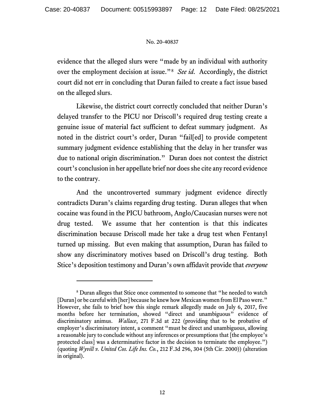evidence that the alleged slurs were "made by an individual with authority over the employment decision at issue."[8](#page-11-0) *See id*. Accordingly, the district court did not err in concluding that Duran failed to create a fact issue based on the alleged slurs.

Likewise, the district court correctly concluded that neither Duran's delayed transfer to the PICU nor Driscoll's required drug testing create a genuine issue of material fact sufficient to defeat summary judgment. As noted in the district court's order, Duran "fail[ed] to provide competent summary judgment evidence establishing that the delay in her transfer was due to national origin discrimination." Duran does not contest the district court's conclusion in her appellate brief nor does she cite any record evidence to the contrary.

And the uncontroverted summary judgment evidence directly contradicts Duran's claims regarding drug testing. Duran alleges that when cocaine was found in the PICU bathroom, Anglo/Caucasian nurses were not drug tested. We assume that her contention is that this indicates discrimination because Driscoll made her take a drug test when Fentanyl turned up missing. But even making that assumption, Duran has failed to show any discriminatory motives based on Driscoll's drug testing. Both Stice's deposition testimony and Duran's own affidavit provide that *everyone*

<span id="page-11-0"></span><sup>8</sup> Duran alleges that Stice once commented to someone that "he needed to watch [Duran] or be careful with [her] because he knew how Mexican women from El Paso were." However, she fails to brief how this single remark allegedly made on July 6, 2017, five months before her termination, showed "direct and unambiguous" evidence of discriminatory animus. *Wallace*, 271 F.3d at 222 (providing that to be probative of employer's discriminatory intent, a comment "must be direct and unambiguous, allowing a reasonable jury to conclude without any inferences or presumptions that [the employee's protected class] was a determinative factor in the decision to terminate the employee.") (quoting *Wyvill v. United Cos. Life Ins. Co.*, 212 F.3d 296, 304 (5th Cir. 2000)) (alteration in original).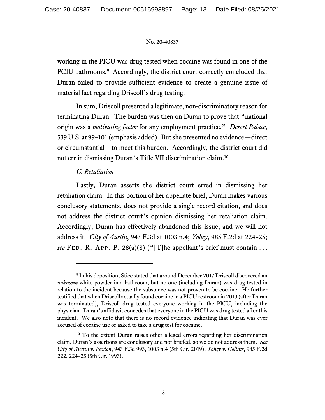working in the PICU was drug tested when cocaine was found in one of the PCIU bathrooms.<sup>9</sup> Accordingly, the district court correctly concluded that Duran failed to provide sufficient evidence to create a genuine issue of material fact regarding Driscoll's drug testing.

In sum, Driscoll presented a legitimate, non-discriminatory reason for terminating Duran. The burden was then on Duran to prove that "national origin was a *motivating factor* for any employment practice." *Desert Palace*, 539 U.S. at 99–101 (emphasis added). But she presented no evidence—direct or circumstantial—to meet this burden. Accordingly, the district court did not err in dismissing Duran's Title VII discrimination claim.[10](#page-12-1)

# *C. Retaliation*

Lastly, Duran asserts the district court erred in dismissing her retaliation claim. In this portion of her appellate brief, Duran makes various conclusory statements, does not provide a single record citation, and does not address the district court's opinion dismissing her retaliation claim. Accordingly, Duran has effectively abandoned this issue, and we will not address it. *City of Austin*, 943 F.3d at 1003 n.4; *Yohey*, 985 F.2d at 224–25; *see* FED. R. App. P. 28(a)(8) ("[T]he appellant's brief must contain ...

<span id="page-12-0"></span><sup>9</sup> In his deposition, Stice stated that around December 2017 Driscoll discovered an *unknown* white powder in a bathroom, but no one (including Duran) was drug tested in relation to the incident because the substance was not proven to be cocaine.He further testified that when Driscoll actually found cocaine in a PICU restroom in 2019 (after Duran was terminated), Driscoll drug tested everyone working in the PICU, including the physician. Duran's affidavit concedes that everyone in the PICU was drug tested after this incident. We also note that there is no record evidence indicating that Duran was ever accused of cocaine use or asked to take a drug test for cocaine.

<span id="page-12-1"></span><sup>&</sup>lt;sup>10</sup> To the extent Duran raises other alleged errors regarding her discrimination claim, Duran's assertions are conclusory and not briefed, so we do not address them. *See City of Austin v. Paxton*, 943 F.3d 993, 1003 n.4 (5th Cir. 2019); *Yohey v. Collins*, 985 F.2d 222, 224–25 (5th Cir. 1993).